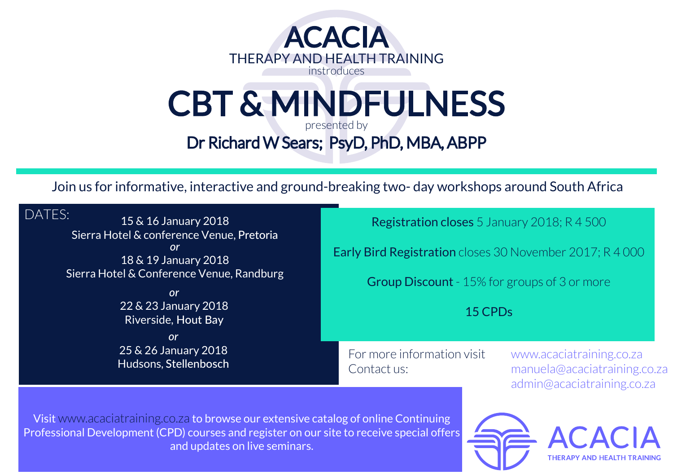

## CBT & MINDFULNESS presented by

Dr Richard W Sears; PsyD, PhD, MBA, ABPP

Join us for informative, interactive and ground-breaking two- day workshops around South Africa

| DATES:<br>15 & 16 January 2018<br>Sierra Hotel & conference Venue, Pretoria<br><u>or</u><br>18 & 19 January 2018<br>Sierra Hotel & Conference Venue, Randburg<br><b>or</b> | <b>Registration closes</b> 5 January 2018; R 4 500                                                                         |  |
|----------------------------------------------------------------------------------------------------------------------------------------------------------------------------|----------------------------------------------------------------------------------------------------------------------------|--|
|                                                                                                                                                                            | <b>Early Bird Registration</b> closes 30 November 2017; R 4 000<br>Group Discount - 15% for groups of 3 or more<br>15 CPDs |  |
|                                                                                                                                                                            |                                                                                                                            |  |
| <b>or</b><br>25 & 26 January 2018<br>Hudsons, Stellenbosch                                                                                                                 |                                                                                                                            |  |
| the control of the control of the control of the con-<br>$\mathbf{v}$ and $\mathbf{v}$ and $\mathbf{v}$                                                                    |                                                                                                                            |  |

Visit www.acaciatraining.co.za to browse our extensive catalog of online Continuing Professional Development (CPD) courses and register on our site to receive special offers and updates on live seminars.

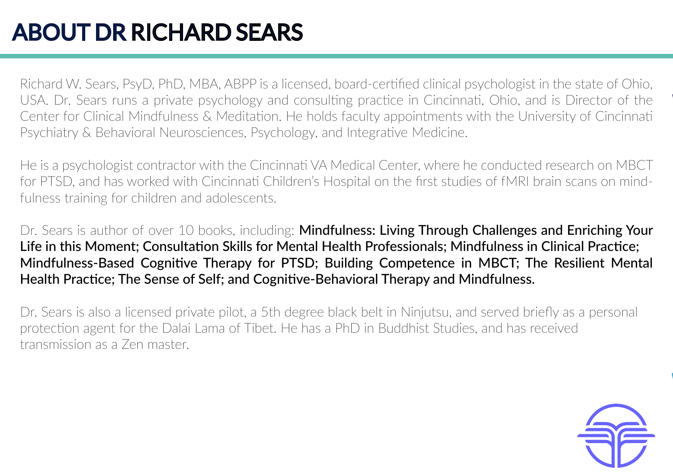## ABOUT DR RICHARD SEARS

Richard W. Sears, PsyD, PhD, MBA, ABPP is a licensed, board-certified clinical psychologist in the state of Ohio, USA. Dr. Sears runs a private psychology and consulting practice in Cincinnati, Ohio, and is Director of the Center for Clinical Mindfulness & Meditation. He holds faculty appointments with the University of Cincinnati Psychiatry & Behavioral Neurosciences, Psychology, and Integrative Medicine.

He is a psychologist contractor with the Cincinnati VA Medical Center, where he conducted research on MBCT for PTSD, and has worked with Cincinnati Children's Hospital on the first studies of fMRI brain scans on mindfulness training for children and adolescents.

Dr. Sears is author of over 10 books, including: **Mindfulness: Living Through Challenges and Enriching Your** Life in this Moment; Consultation Skills for Mental Health Professionals; Mindfulness in Clinical Practice; Mindfulness-Based Cognitive Therapy for PTSD; Building Competence in MBCT; The Resilient Mental Health Practice; The Sense of Self; and Cognitive-Behavioral Therapy and Mindfulness.

Dr. Sears is also a licensed private pilot, a 5th degree black belt in Ninjutsu, and served briefly as a personal protection agent for the Dalai Lama of Tibet. He has a PhD in Buddhist Studies, and has received transmission as a Zen master.